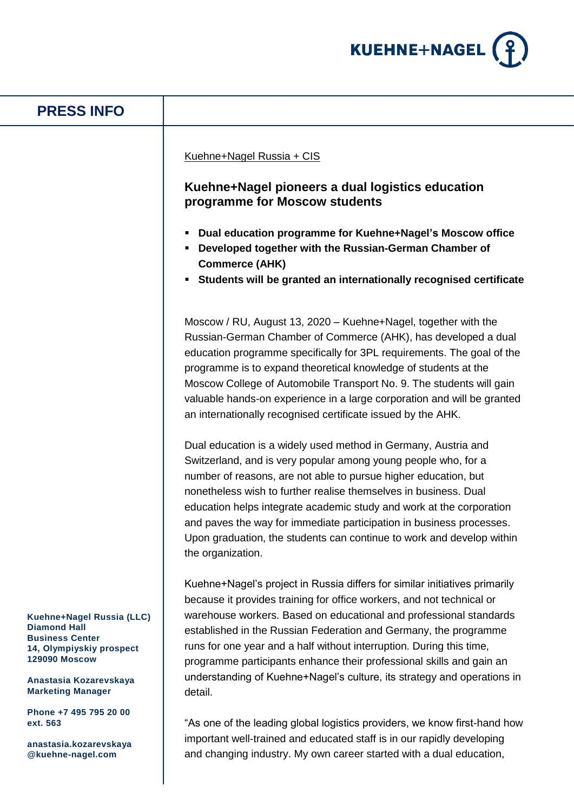

## **Kuehne+Nagel Russia (LLC) Diamond Hall Business Center 14, Olympiyskiy prospect 129090 Moscow Anastasia Kozarevskaya Marketing Manager Phone +7 495 795 20 00 ext. 563 PRESS INFO** Kuehne+Nagel Russia + CIS **Kuehne+Nagel pioneers a dual logistics education programme for Moscow students Dual education programme for Kuehne+Nagel's Moscow office Developed together with the Russian-German Chamber of Commerce (AHK) Students will be granted an internationally recognised certificate** Moscow / RU, August 13, 2020 – Kuehne+Nagel, together with the Russian-German Chamber of Commerce (AHK), has developed a dual education programme specifically for 3PL requirements. The goal of the programme is to expand theoretical knowledge of students at the Moscow College of Automobile Transport No. 9. The students will gain valuable hands-on experience in a large corporation and will be granted an internationally recognised certificate issued by the AHK. Dual education is a widely used method in Germany, Austria and Switzerland, and is very popular among young people who, for a number of reasons, are not able to pursue higher education, but nonetheless wish to further realise themselves in business. Dual education helps integrate academic study and work at the corporation and paves the way for immediate participation in business processes. Upon graduation, the students can continue to work and develop within the organization. Kuehne+Nagel's project in Russia differs for similar initiatives primarily because it provides training for office workers, and not technical or warehouse workers. Based on educational and professional standards established in the Russian Federation and Germany, the programme runs for one year and a half without interruption. During this time, programme participants enhance their professional skills and gain an understanding of Kuehne+Nagel's culture, its strategy and operations in detail. "As one of the leading global logistics providers, we know first-hand how

**anastasia.kozarevskaya @kuehne-nagel.com**

important well-trained and educated staff is in our rapidly developing and changing industry. My own career started with a dual education,